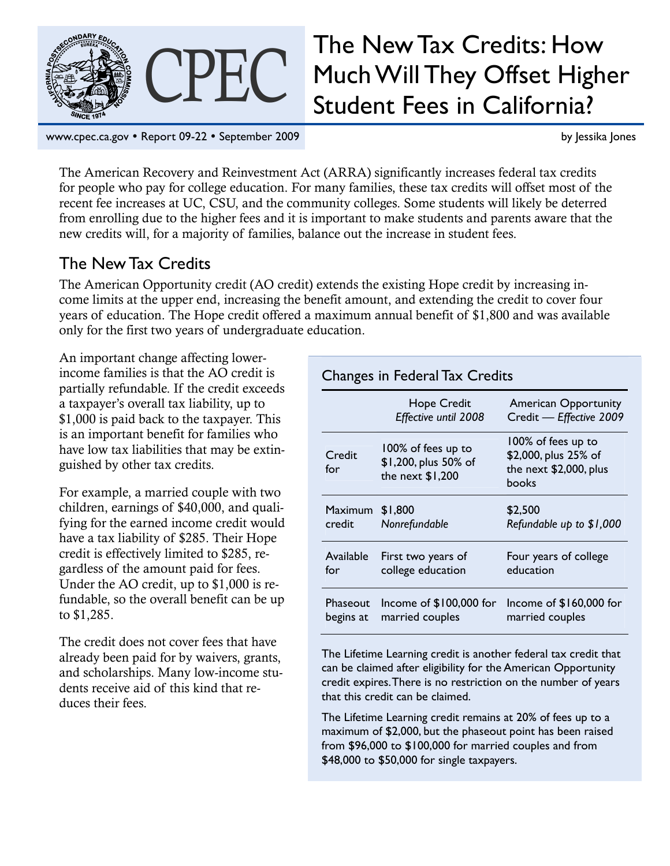

# CPEC The New Tax Credits: How<br>Student Fees in California? Much Will They Offset Higher Student Fees in California?

www.cpec.ca.gov • Report 09-22 • September 2009 by Jessika Jones by Jessika Jones by Jessika Jones by Jessika Jones

The American Recovery and Reinvestment Act (ARRA) significantly increases federal tax credits for people who pay for college education. For many families, these tax credits will offset most of the recent fee increases at UC, CSU, and the community colleges. Some students will likely be deterred from enrolling due to the higher fees and it is important to make students and parents aware that the new credits will, for a majority of families, balance out the increase in student fees.

### The New Tax Credits

The American Opportunity credit (AO credit) extends the existing Hope credit by increasing income limits at the upper end, increasing the benefit amount, and extending the credit to cover four years of education. The Hope credit offered a maximum annual benefit of \$1,800 and was available only for the first two years of undergraduate education.

An important change affecting lowerincome families is that the AO credit is partially refundable. If the credit exceeds a taxpayer's overall tax liability, up to \$1,000 is paid back to the taxpayer. This is an important benefit for families who have low tax liabilities that may be extinguished by other tax credits.

For example, a married couple with two children, earnings of \$40,000, and qualifying for the earned income credit would have a tax liability of \$285. Their Hope credit is effectively limited to \$285, regardless of the amount paid for fees. Under the AO credit, up to \$1,000 is refundable, so the overall benefit can be up to \$1,285.

The credit does not cover fees that have already been paid for by waivers, grants, and scholarships. Many low-income students receive aid of this kind that reduces their fees.

| Changes in Federal Tax Credits |                                                                |                                                                               |  |  |
|--------------------------------|----------------------------------------------------------------|-------------------------------------------------------------------------------|--|--|
|                                | <b>Hope Credit</b><br>Effective until 2008                     | <b>American Opportunity</b><br>Credit - Effective 2009                        |  |  |
| Credit<br>for                  | 100% of fees up to<br>\$1,200, plus 50% of<br>the next \$1,200 | 100% of fees up to<br>\$2,000, plus 25% of<br>the next \$2,000, plus<br>books |  |  |
| Maximum                        | \$1,800                                                        | \$2,500                                                                       |  |  |
| credit                         | Nonrefundable                                                  | Refundable up to \$1,000                                                      |  |  |
| Available                      | First two years of                                             | Four years of college                                                         |  |  |
| for                            | college education                                              | education                                                                     |  |  |
| Phaseout                       | Income of \$100,000 for                                        | Income of \$160,000 for                                                       |  |  |
| begins at                      | married couples                                                | married couples                                                               |  |  |

The Lifetime Learning credit is another federal tax credit that can be claimed after eligibility for the American Opportunity credit expires. There is no restriction on the number of years that this credit can be claimed.

The Lifetime Learning credit remains at 20% of fees up to a maximum of \$2,000, but the phaseout point has been raised from \$96,000 to \$100,000 for married couples and from \$48,000 to \$50,000 for single taxpayers.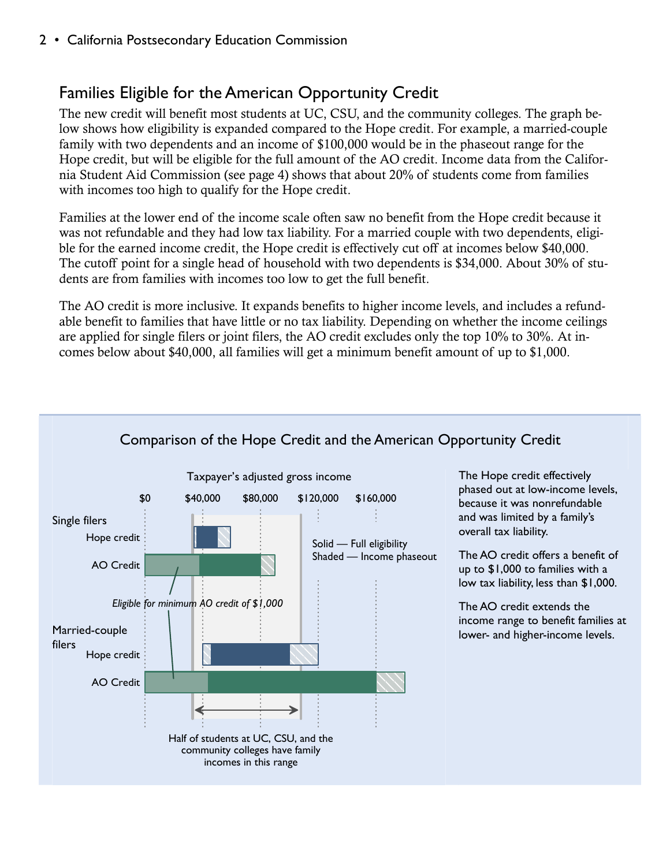# Families Eligible for the American Opportunity Credit

The new credit will benefit most students at UC, CSU, and the community colleges. The graph below shows how eligibility is expanded compared to the Hope credit. For example, a married-couple family with two dependents and an income of \$100,000 would be in the phaseout range for the Hope credit, but will be eligible for the full amount of the AO credit. Income data from the California Student Aid Commission (see page 4) shows that about 20% of students come from families with incomes too high to qualify for the Hope credit.

Families at the lower end of the income scale often saw no benefit from the Hope credit because it was not refundable and they had low tax liability. For a married couple with two dependents, eligible for the earned income credit, the Hope credit is effectively cut off at incomes below \$40,000. The cutoff point for a single head of household with two dependents is \$34,000. About 30% of students are from families with incomes too low to get the full benefit.

The AO credit is more inclusive. It expands benefits to higher income levels, and includes a refundable benefit to families that have little or no tax liability. Depending on whether the income ceilings are applied for single filers or joint filers, the AO credit excludes only the top 10% to 30%. At incomes below about \$40,000, all families will get a minimum benefit amount of up to \$1,000.

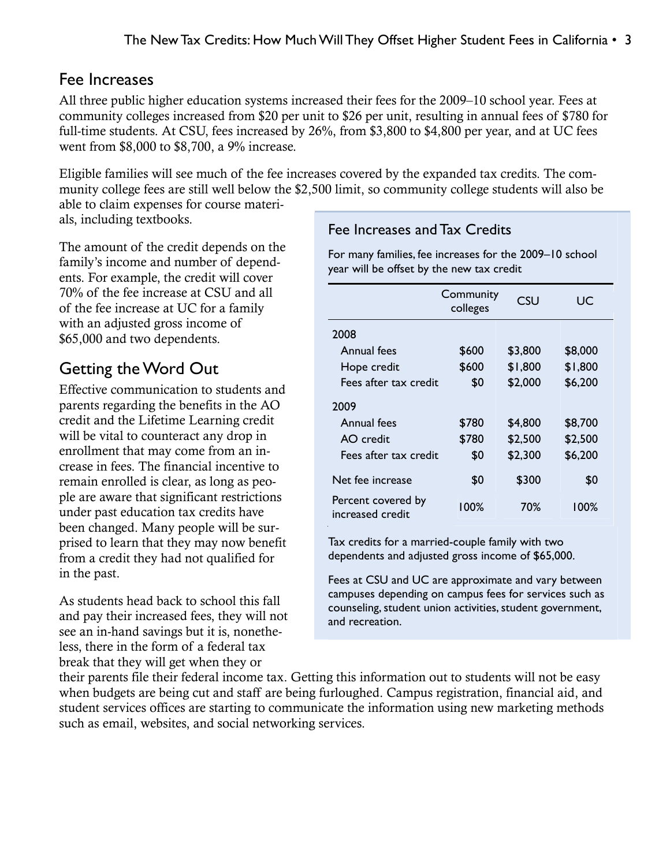#### Fee Increases

All three public higher education systems increased their fees for the 2009–10 school year. Fees at community colleges increased from \$20 per unit to \$26 per unit, resulting in annual fees of \$780 for full-time students. At CSU, fees increased by 26%, from \$3,800 to \$4,800 per year, and at UC fees went from \$8,000 to \$8,700, a 9% increase.

Eligible families will see much of the fee increases covered by the expanded tax credits. The community college fees are still well below the \$2,500 limit, so community college students will also be

able to claim expenses for course materials, including textbooks.

The amount of the credit depends on the family's income and number of dependents. For example, the credit will cover 70% of the fee increase at CSU and all of the fee increase at UC for a family with an adjusted gross income of \$65,000 and two dependents.

# Getting the Word Out

Effective communication to students and parents regarding the benefits in the AO credit and the Lifetime Learning credit will be vital to counteract any drop in enrollment that may come from an increase in fees. The financial incentive to remain enrolled is clear, as long as people are aware that significant restrictions under past education tax credits have been changed. Many people will be surprised to learn that they may now benefit from a credit they had not qualified for in the past.

As students head back to school this fall and pay their increased fees, they will not see an in-hand savings but it is, nonetheless, there in the form of a federal tax break that they will get when they or

#### Fee Increases and Tax Credits

For many families, fee increases for the 2009–10 school year will be offset by the new tax credit

|                                        | Community<br>colleges | CSU     | UC      |
|----------------------------------------|-----------------------|---------|---------|
| 2008                                   |                       |         |         |
| Annual fees                            | \$600                 | \$3,800 | \$8,000 |
| Hope credit                            | \$600                 | \$1,800 | \$1,800 |
| Fees after tax credit                  | \$0                   | \$2,000 | \$6,200 |
| 2009                                   |                       |         |         |
| <b>Annual fees</b>                     | \$780                 | \$4,800 | \$8,700 |
| AO credit                              | \$780                 | \$2,500 | \$2,500 |
| Fees after tax credit                  | \$0                   | \$2,300 | \$6,200 |
| Net fee increase                       | \$0                   | \$300   | \$0     |
| Percent covered by<br>increased credit | 100%                  | 70%     | 100%    |

Tax credits for a married-couple family with two dependents and adjusted gross income of \$65,000.

Fees at CSU and UC are approximate and vary between campuses depending on campus fees for services such as counseling, student union activities, student government, and recreation.

their parents file their federal income tax. Getting this information out to students will not be easy when budgets are being cut and staff are being furloughed. Campus registration, financial aid, and student services offices are starting to communicate the information using new marketing methods such as email, websites, and social networking services.